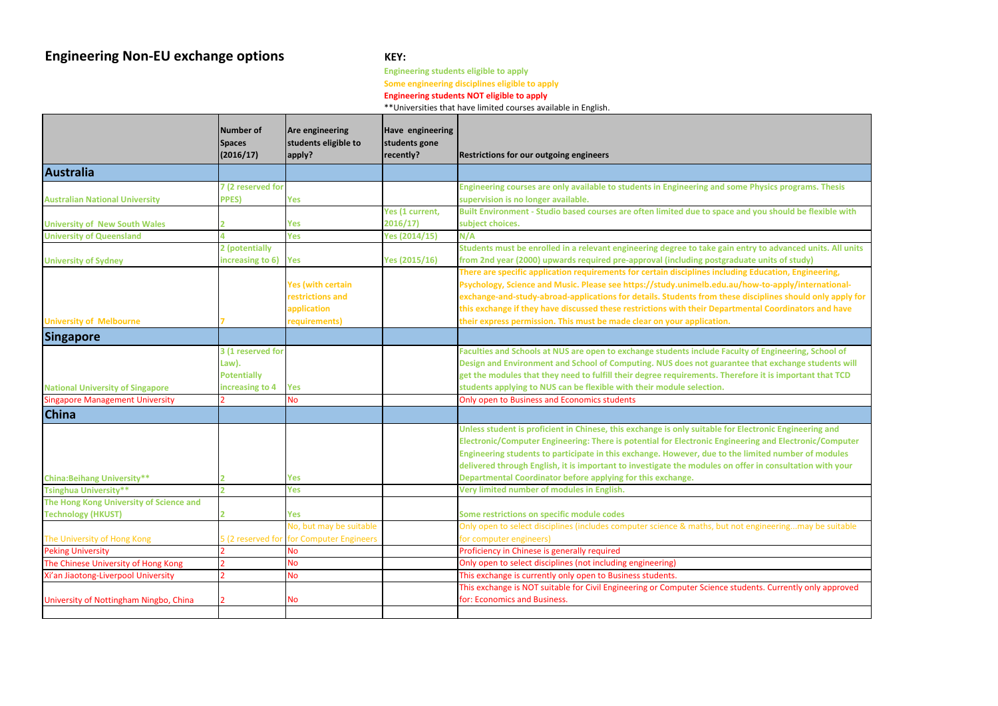# **Engineering Non-EU exchange options KEY:**

**Engineering students eligible to apply Some engineering disciplines eligible to apply**

### **Engineering students NOT eligible to apply**

\*\*Universities that have limited courses available in English.

|                                         | <b>Number of</b><br><b>Spaces</b><br>(2016/17)                      | <b>Are engineering</b><br>students eligible to<br>apply?                     | <b>Have engineering</b><br>students gone<br>recently? | <b>Restrictions for our outgoing engineers</b>                                                                                                                                                                                                                                                                                                                                                        |
|-----------------------------------------|---------------------------------------------------------------------|------------------------------------------------------------------------------|-------------------------------------------------------|-------------------------------------------------------------------------------------------------------------------------------------------------------------------------------------------------------------------------------------------------------------------------------------------------------------------------------------------------------------------------------------------------------|
| <b>Australia</b>                        |                                                                     |                                                                              |                                                       |                                                                                                                                                                                                                                                                                                                                                                                                       |
|                                         | 7 (2 reserved for                                                   |                                                                              |                                                       | Engineering courses are only available to students in Engineering and some I                                                                                                                                                                                                                                                                                                                          |
| <b>Australian National University</b>   | <b>PPES)</b>                                                        | <b>Yes</b>                                                                   |                                                       | supervision is no longer available.                                                                                                                                                                                                                                                                                                                                                                   |
|                                         |                                                                     |                                                                              | Yes (1 current,                                       | Built Environment - Studio based courses are often limited due to space and                                                                                                                                                                                                                                                                                                                           |
| <b>University of New South Wales</b>    |                                                                     | <b>Yes</b>                                                                   | 2016/17)                                              | subject choices.                                                                                                                                                                                                                                                                                                                                                                                      |
| <b>University of Queensland</b>         |                                                                     | <b>Yes</b>                                                                   | <b>Yes (2014/15)</b>                                  | N/A                                                                                                                                                                                                                                                                                                                                                                                                   |
|                                         | 2 (potentially                                                      |                                                                              |                                                       | Students must be enrolled in a relevant engineering degree to take gain entr                                                                                                                                                                                                                                                                                                                          |
| <b>University of Sydney</b>             | increasing to 6)                                                    | Yes                                                                          | Yes (2015/16)                                         | from 2nd year (2000) upwards required pre-approval (including postgraduat                                                                                                                                                                                                                                                                                                                             |
| <b>University of Melbourne</b>          |                                                                     | <b>Yes (with certain</b><br>restrictions and<br>application<br>requirements) |                                                       | There are specific application requirements for certain disciplines including I<br>Psychology, Science and Music. Please see https://study.unimelb.edu.au/ho<br>exchange-and-study-abroad-applications for details. Students from these dis<br>this exchange if they have discussed these restrictions with their Departmen<br>their express permission. This must be made clear on your application. |
| <b>Singapore</b>                        |                                                                     |                                                                              |                                                       |                                                                                                                                                                                                                                                                                                                                                                                                       |
| <b>National University of Singapore</b> | 3 (1 reserved for<br>Law).<br><b>Potentially</b><br>increasing to 4 | <b>Yes</b>                                                                   |                                                       | Faculties and Schools at NUS are open to exchange students include Faculty<br>Design and Environment and School of Computing. NUS does not guarantee<br>get the modules that they need to fulfill their degree requirements. Therefo<br>students applying to NUS can be flexible with their module selection.                                                                                         |
| <b>Singapore Management University</b>  |                                                                     | <b>No</b>                                                                    |                                                       | Only open to Business and Economics students                                                                                                                                                                                                                                                                                                                                                          |
| <b>China</b>                            |                                                                     |                                                                              |                                                       |                                                                                                                                                                                                                                                                                                                                                                                                       |
|                                         |                                                                     |                                                                              |                                                       | Unless student is proficient in Chinese, this exchange is only suitable for Eleo<br>Electronic/Computer Engineering: There is potential for Electronic Engineeri<br>Engineering students to participate in this exchange. However, due to the lir<br>delivered through English, it is important to investigate the modules on offe                                                                    |
| <b>China: Beihang University**</b>      |                                                                     | <b>Yes</b>                                                                   |                                                       | Departmental Coordinator before applying for this exchange.                                                                                                                                                                                                                                                                                                                                           |
| <b>Tsinghua University**</b>            |                                                                     | <b>Yes</b>                                                                   |                                                       | Very limited number of modules in English.                                                                                                                                                                                                                                                                                                                                                            |
| The Hong Kong University of Science and |                                                                     |                                                                              |                                                       |                                                                                                                                                                                                                                                                                                                                                                                                       |
| <b>Technology (HKUST)</b>               |                                                                     | Yes                                                                          |                                                       | Some restrictions on specific module codes                                                                                                                                                                                                                                                                                                                                                            |
|                                         |                                                                     | No, but may be suitable                                                      |                                                       | Only open to select disciplines (includes computer science & maths, but not e                                                                                                                                                                                                                                                                                                                         |
| The University of Hong Kong             |                                                                     | 5 (2 reserved for for Computer Engineers                                     |                                                       | for computer engineers)                                                                                                                                                                                                                                                                                                                                                                               |
| <b>Peking University</b>                |                                                                     | <b>No</b>                                                                    |                                                       | Proficiency in Chinese is generally required                                                                                                                                                                                                                                                                                                                                                          |
| The Chinese University of Hong Kong     |                                                                     | <b>No</b>                                                                    |                                                       | Only open to select disciplines (not including engineering)                                                                                                                                                                                                                                                                                                                                           |
| Xi'an Jiaotong-Liverpool University     |                                                                     | <b>No</b>                                                                    |                                                       | This exchange is currently only open to Business students.<br>This exchange is NOT suitable for Civil Engineering or Computer Science stude                                                                                                                                                                                                                                                           |
| University of Nottingham Ningbo, China  |                                                                     | No                                                                           |                                                       | for: Economics and Business.                                                                                                                                                                                                                                                                                                                                                                          |

**Physics programs. Thesis** 

**<u>built we should be flexible with</u>** 

**Strugents must be enabled in a relation in a relation entries frame 2000 f** 

**Education, Engineering,** 

**Psychology/internationalisciplines should only apply for** 

**thal Coordinators and have** 

**Famultiple School of and School of that exchange students will geter it is important that TCD** 

**Let ronic Engineering and EXEGER ENGINEER ENGINEER IS POSTED ENGINEER Engineer of modules in this example in this exchange in this exchange in the integral rate delish disponent in consultation with your** 

ngineering...may be suitable

ents. Currently only approved